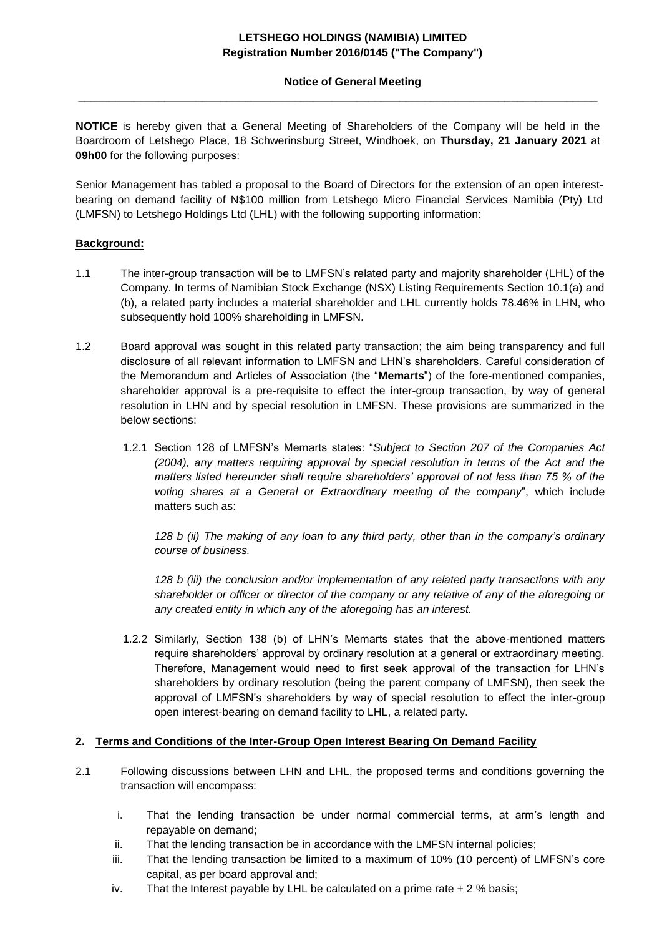# **LETSHEGO HOLDINGS (NAMIBIA) LIMITED Registration Number 2016/0145 ("The Company")**

# **Notice of General Meeting**

**NOTICE** is hereby given that a General Meeting of Shareholders of the Company will be held in the Boardroom of Letshego Place, 18 Schwerinsburg Street, Windhoek, on **Thursday, 21 January 2021** at **09h00** for the following purposes:

**\_\_\_\_\_\_\_\_\_\_\_\_\_\_\_\_\_\_\_\_\_\_\_\_\_\_\_\_\_\_\_\_\_\_\_\_\_\_\_\_\_\_\_\_\_\_\_\_\_\_\_\_\_\_\_\_\_\_\_\_\_\_\_\_\_\_\_\_\_\_\_\_\_\_\_\_\_\_\_\_\_\_\_\_**

Senior Management has tabled a proposal to the Board of Directors for the extension of an open interestbearing on demand facility of N\$100 million from Letshego Micro Financial Services Namibia (Pty) Ltd (LMFSN) to Letshego Holdings Ltd (LHL) with the following supporting information:

# **Background:**

- 1.1 The inter-group transaction will be to LMFSN's related party and majority shareholder (LHL) of the Company. In terms of Namibian Stock Exchange (NSX) Listing Requirements Section 10.1(a) and (b), a related party includes a material shareholder and LHL currently holds 78.46% in LHN, who subsequently hold 100% shareholding in LMFSN.
- 1.2 Board approval was sought in this related party transaction; the aim being transparency and full disclosure of all relevant information to LMFSN and LHN's shareholders. Careful consideration of the Memorandum and Articles of Association (the "**Memarts**") of the fore-mentioned companies, shareholder approval is a pre-requisite to effect the inter-group transaction, by way of general resolution in LHN and by special resolution in LMFSN. These provisions are summarized in the below sections:
	- 1.2.1 Section 128 of LMFSN's Memarts states: "*Subject to Section 207 of the Companies Act (2004), any matters requiring approval by special resolution in terms of the Act and the matters listed hereunder shall require shareholders' approval of not less than 75 % of the voting shares at a General or Extraordinary meeting of the company*", which include matters such as:

*128 b (ii) The making of any loan to any third party, other than in the company's ordinary course of business.*

*128 b (iii) the conclusion and/or implementation of any related party transactions with any shareholder or officer or director of the company or any relative of any of the aforegoing or any created entity in which any of the aforegoing has an interest.*

1.2.2 Similarly, Section 138 (b) of LHN's Memarts states that the above-mentioned matters require shareholders' approval by ordinary resolution at a general or extraordinary meeting. Therefore, Management would need to first seek approval of the transaction for LHN's shareholders by ordinary resolution (being the parent company of LMFSN), then seek the approval of LMFSN's shareholders by way of special resolution to effect the inter-group open interest-bearing on demand facility to LHL, a related party.

# **2. Terms and Conditions of the Inter-Group Open Interest Bearing On Demand Facility**

- 2.1 Following discussions between LHN and LHL, the proposed terms and conditions governing the transaction will encompass:
	- i. That the lending transaction be under normal commercial terms, at arm's length and repayable on demand;
	- ii. That the lending transaction be in accordance with the LMFSN internal policies;
	- iii. That the lending transaction be limited to a maximum of 10% (10 percent) of LMFSN's core capital, as per board approval and;
	- iv. That the Interest payable by LHL be calculated on a prime rate  $+2\%$  basis;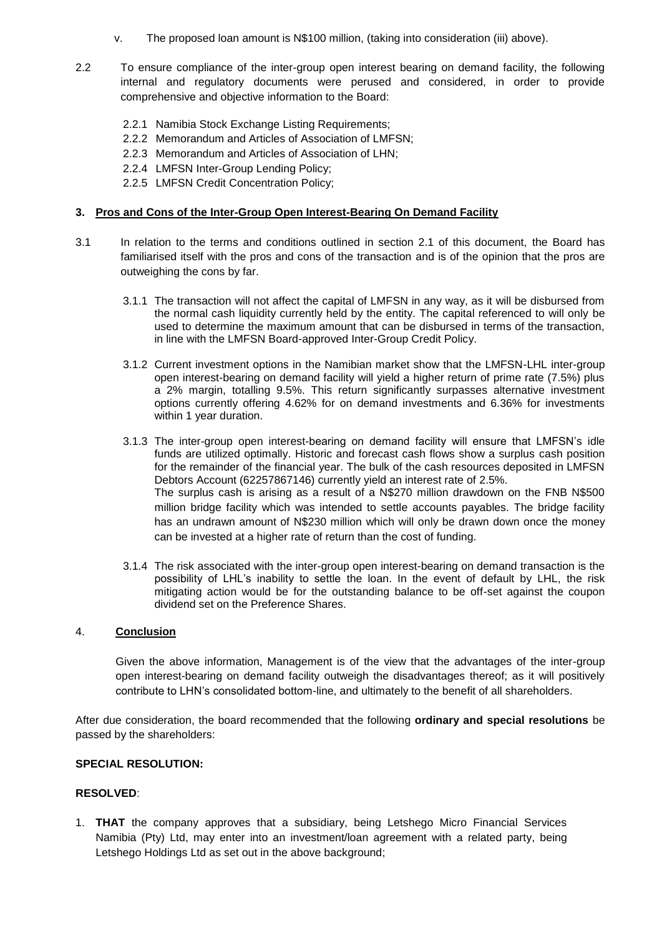- v. The proposed loan amount is N\$100 million, (taking into consideration (iii) above).
- 2.2 To ensure compliance of the inter-group open interest bearing on demand facility, the following internal and regulatory documents were perused and considered, in order to provide comprehensive and objective information to the Board:
	- 2.2.1 Namibia Stock Exchange Listing Requirements;
	- 2.2.2 Memorandum and Articles of Association of LMFSN;
	- 2.2.3 Memorandum and Articles of Association of LHN;
	- 2.2.4 LMFSN Inter-Group Lending Policy;
	- 2.2.5 LMFSN Credit Concentration Policy;

## **3. Pros and Cons of the Inter-Group Open Interest-Bearing On Demand Facility**

- 3.1 In relation to the terms and conditions outlined in section 2.1 of this document, the Board has familiarised itself with the pros and cons of the transaction and is of the opinion that the pros are outweighing the cons by far.
	- 3.1.1 The transaction will not affect the capital of LMFSN in any way, as it will be disbursed from the normal cash liquidity currently held by the entity. The capital referenced to will only be used to determine the maximum amount that can be disbursed in terms of the transaction, in line with the LMFSN Board-approved Inter-Group Credit Policy.
	- 3.1.2 Current investment options in the Namibian market show that the LMFSN-LHL inter-group open interest-bearing on demand facility will yield a higher return of prime rate (7.5%) plus a 2% margin, totalling 9.5%. This return significantly surpasses alternative investment options currently offering 4.62% for on demand investments and 6.36% for investments within 1 year duration.
	- 3.1.3 The inter-group open interest-bearing on demand facility will ensure that LMFSN's idle funds are utilized optimally. Historic and forecast cash flows show a surplus cash position for the remainder of the financial year. The bulk of the cash resources deposited in LMFSN Debtors Account (62257867146) currently yield an interest rate of 2.5%. The surplus cash is arising as a result of a N\$270 million drawdown on the FNB N\$500 million bridge facility which was intended to settle accounts payables. The bridge facility has an undrawn amount of N\$230 million which will only be drawn down once the money can be invested at a higher rate of return than the cost of funding.
	- 3.1.4 The risk associated with the inter-group open interest-bearing on demand transaction is the possibility of LHL's inability to settle the loan. In the event of default by LHL, the risk mitigating action would be for the outstanding balance to be off-set against the coupon dividend set on the Preference Shares.

# 4. **Conclusion**

Given the above information, Management is of the view that the advantages of the inter-group open interest-bearing on demand facility outweigh the disadvantages thereof; as it will positively contribute to LHN's consolidated bottom-line, and ultimately to the benefit of all shareholders.

After due consideration, the board recommended that the following **ordinary and special resolutions** be passed by the shareholders:

# **SPECIAL RESOLUTION:**

# **RESOLVED**:

1. **THAT** the company approves that a subsidiary, being Letshego Micro Financial Services Namibia (Pty) Ltd, may enter into an investment/loan agreement with a related party, being Letshego Holdings Ltd as set out in the above background;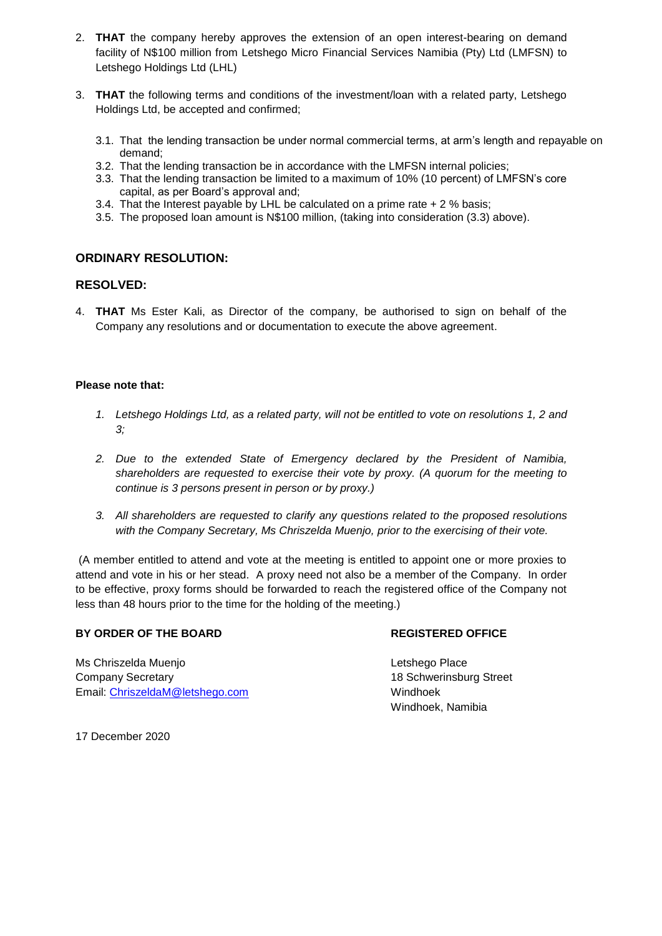- 2. **THAT** the company hereby approves the extension of an open interest-bearing on demand facility of N\$100 million from Letshego Micro Financial Services Namibia (Pty) Ltd (LMFSN) to Letshego Holdings Ltd (LHL)
- 3. **THAT** the following terms and conditions of the investment/loan with a related party, Letshego Holdings Ltd, be accepted and confirmed;
	- 3.1. That the lending transaction be under normal commercial terms, at arm's length and repayable on demand;
	- 3.2. That the lending transaction be in accordance with the LMFSN internal policies;
	- 3.3. That the lending transaction be limited to a maximum of 10% (10 percent) of LMFSN's core capital, as per Board's approval and;
	- 3.4. That the Interest payable by LHL be calculated on a prime rate  $+2\%$  basis;
	- 3.5. The proposed loan amount is N\$100 million, (taking into consideration (3.3) above).

# **ORDINARY RESOLUTION:**

# **RESOLVED:**

4. **THAT** Ms Ester Kali, as Director of the company, be authorised to sign on behalf of the Company any resolutions and or documentation to execute the above agreement.

## **Please note that:**

- *1. Letshego Holdings Ltd, as a related party, will not be entitled to vote on resolutions 1, 2 and 3;*
- *2. Due to the extended State of Emergency declared by the President of Namibia, shareholders are requested to exercise their vote by proxy. (A quorum for the meeting to continue is 3 persons present in person or by proxy.)*
- *3. All shareholders are requested to clarify any questions related to the proposed resolutions with the Company Secretary, Ms Chriszelda Muenjo, prior to the exercising of their vote.*

(A member entitled to attend and vote at the meeting is entitled to appoint one or more proxies to attend and vote in his or her stead. A proxy need not also be a member of the Company. In order to be effective, proxy forms should be forwarded to reach the registered office of the Company not less than 48 hours prior to the time for the holding of the meeting.)

# **BY ORDER OF THE BOARD REGISTERED OFFICE**

Ms Chriszelda Muenjo **Letshego Place** Company Secretary 18 Schwerinsburg Street Email: [ChriszeldaM@letshego.com](mailto:ChriszeldaM@letshego.com) Windhoek

Windhoek, Namibia

17 December 2020